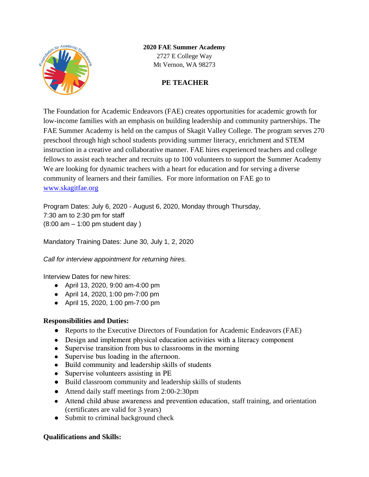

# **2020 FAE Summer Academy**

2727 E College Way Mt Vernon, WA 98273

## **PE TEACHER**

The Foundation for Academic Endeavors (FAE) creates opportunities for academic growth for low-income families with an emphasis on building leadership and community partnerships. The FAE Summer Academy is held on the campus of Skagit Valley College. The program serves 270 preschool through high school students providing summer literacy, enrichment and STEM instruction in a creative and collaborative manner. FAE hires experienced teachers and college fellows to assist each teacher and recruits up to 100 volunteers to support the Summer Academy We are looking for dynamic teachers with a heart for education and for serving a diverse community of learners and their families. For more information on FAE go to [www.skagitfae.org](http://www.skagitfae.org/)

Program Dates: July 6, 2020 - August 6, 2020, Monday through Thursday, 7:30 am to 2:30 pm for staff (8:00 am – 1:00 pm student day )

Mandatory Training Dates: June 30, July 1, 2, 2020

*Call for interview appointment for returning hires.*

Interview Dates for new hires:

- April 13, 2020, 9:00 am-4:00 pm
- April 14, 2020, 1:00 pm-7:00 pm
- April 15, 2020, 1:00 pm-7:00 pm

## **Responsibilities and Duties:**

- Reports to the Executive Directors of Foundation for Academic Endeavors (FAE)
- Design and implement physical education activities with a literacy component
- Supervise transition from bus to classrooms in the morning
- Supervise bus loading in the afternoon.
- Build community and leadership skills of students
- Supervise volunteers assisting in PE
- Build classroom community and leadership skills of students
- Attend daily staff meetings from 2:00-2:30pm
- Attend child abuse awareness and prevention education, staff training, and orientation (certificates are valid for 3 years)
- Submit to criminal background check

## **Qualifications and Skills:**